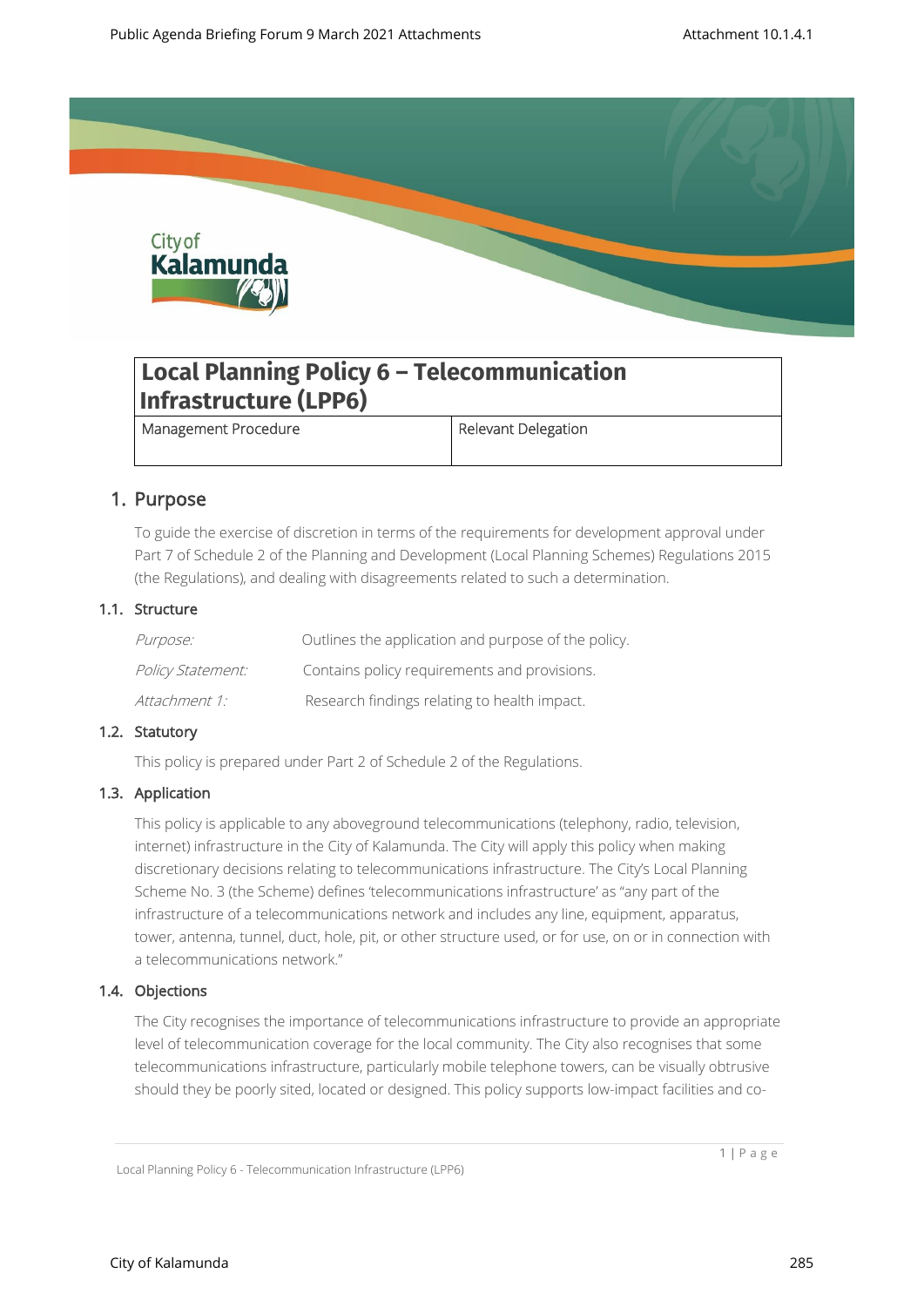

# **Local Planning Policy 6 – Telecommunication Infrastructure (LPP6)**

Management Procedure **Relevant Delegation** 

# 1. Purpose

To guide the exercise of discretion in terms of the requirements for development approval under Part 7 of Schedule 2 of the Planning and Development (Local Planning Schemes) Regulations 2015 (the Regulations), and dealing with disagreements related to such a determination.

### 1.1. Structure

| <i>Purpose:</i>          | Outlines the application and purpose of the policy. |
|--------------------------|-----------------------------------------------------|
| <i>Policy Statement:</i> | Contains policy requirements and provisions.        |
| Attachment 1:            | Research findings relating to health impact.        |

## 1.2. Statutory

This policy is prepared under Part 2 of Schedule 2 of the Regulations.

## 1.3. Application

This policy is applicable to any aboveground telecommunications (telephony, radio, television, internet) infrastructure in the City of Kalamunda. The City will apply this policy when making discretionary decisions relating to telecommunications infrastructure. The City's Local Planning Scheme No. 3 (the Scheme) defines 'telecommunications infrastructure' as "any part of the infrastructure of a telecommunications network and includes any line, equipment, apparatus, tower, antenna, tunnel, duct, hole, pit, or other structure used, or for use, on or in connection with a telecommunications network."

## 1.4. Objections

The City recognises the importance of telecommunications infrastructure to provide an appropriate level of telecommunication coverage for the local community. The City also recognises that some telecommunications infrastructure, particularly mobile telephone towers, can be visually obtrusive should they be poorly sited, located or designed. This policy supports low-impact facilities and co-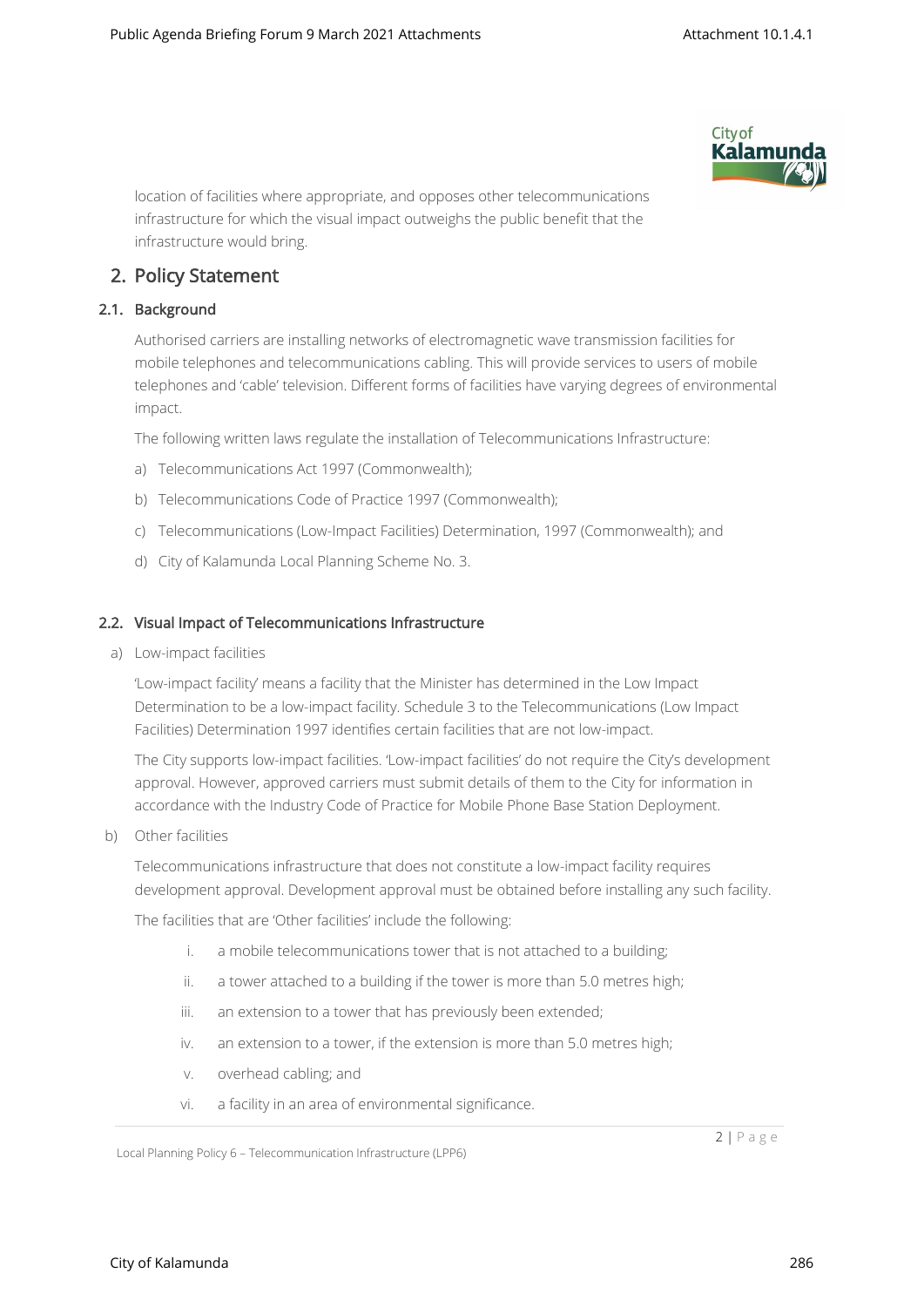

location of facilities where appropriate, and opposes other telecommunications infrastructure for which the visual impact outweighs the public benefit that the infrastructure would bring.

# 2. Policy Statement

# 2.1. Background

Authorised carriers are installing networks of electromagnetic wave transmission facilities for mobile telephones and telecommunications cabling. This will provide services to users of mobile telephones and 'cable' television. Different forms of facilities have varying degrees of environmental impact.

The following written laws regulate the installation of Telecommunications Infrastructure:

- a) Telecommunications Act 1997 (Commonwealth);
- b) Telecommunications Code of Practice 1997 (Commonwealth);
- c) Telecommunications (Low-Impact Facilities) Determination, 1997 (Commonwealth); and
- d) City of Kalamunda Local Planning Scheme No. 3.

### 2.2. Visual Impact of Telecommunications Infrastructure

a) Low-impact facilities

'Low-impact facility' means a facility that the Minister has determined in the Low Impact Determination to be a low-impact facility. Schedule 3 to the Telecommunications (Low Impact Facilities) Determination 1997 identifies certain facilities that are not low-impact.

The City supports low-impact facilities. 'Low-impact facilities' do not require the City's development approval. However, approved carriers must submit details of them to the City for information in accordance with the Industry Code of Practice for Mobile Phone Base Station Deployment.

b) Other facilities

Telecommunications infrastructure that does not constitute a low-impact facility requires development approval. Development approval must be obtained before installing any such facility.

The facilities that are 'Other facilities' include the following:

- i. a mobile telecommunications tower that is not attached to a building;
- ii. a tower attached to a building if the tower is more than 5.0 metres high;
- iii. an extension to a tower that has previously been extended:
- iv. an extension to a tower, if the extension is more than 5.0 metres high;
- v. overhead cabling; and
- vi. a facility in an area of environmental significance.

Local Planning Policy 6 – Telecommunication Infrastructure (LPP6)

2 | P a g e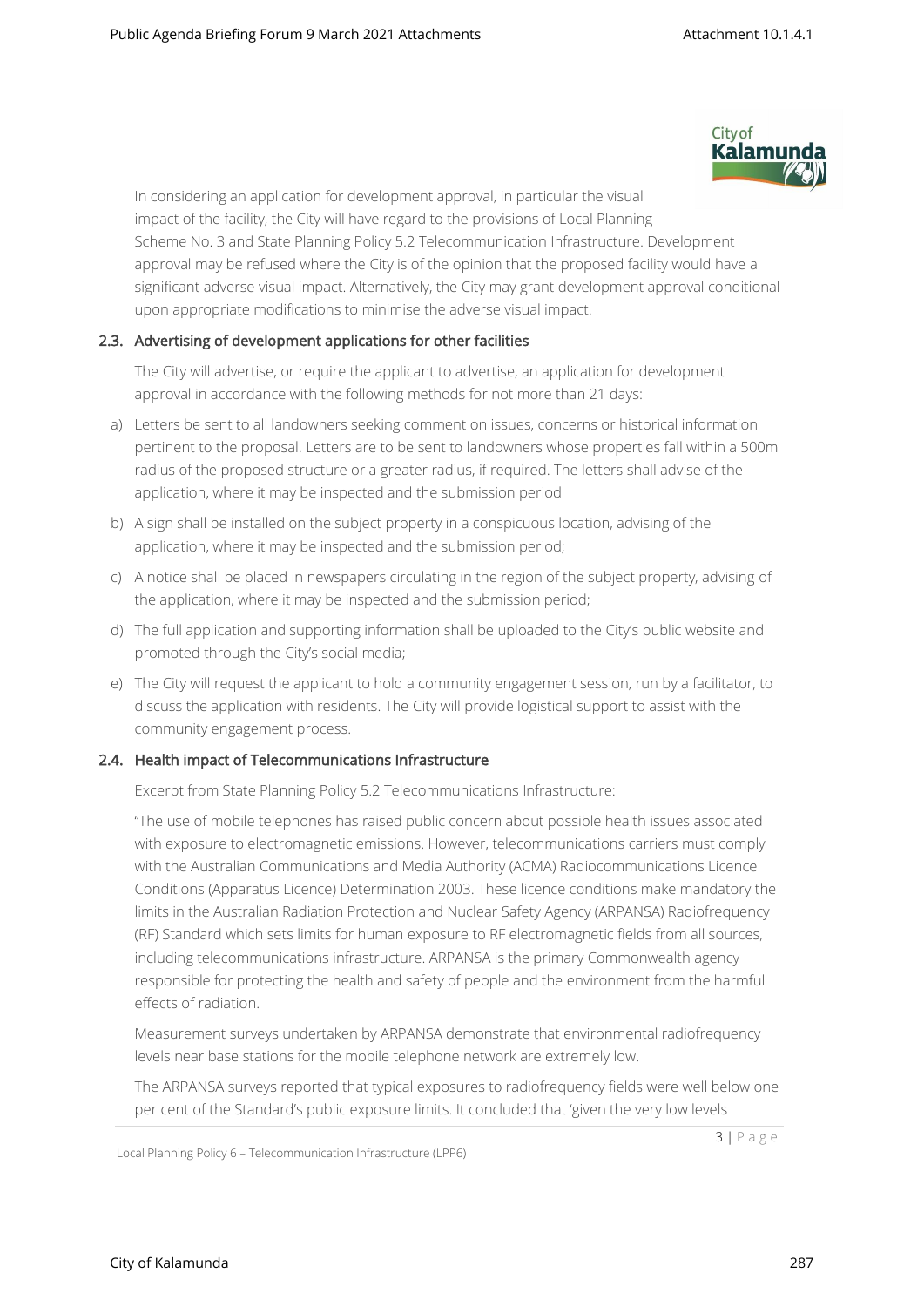

In considering an application for development approval, in particular the visual impact of the facility, the City will have regard to the provisions of Local Planning Scheme No. 3 and State Planning Policy 5.2 Telecommunication Infrastructure. Development approval may be refused where the City is of the opinion that the proposed facility would have a significant adverse visual impact. Alternatively, the City may grant development approval conditional upon appropriate modifications to minimise the adverse visual impact.

## 2.3. Advertising of development applications for other facilities

The City will advertise, or require the applicant to advertise, an application for development approval in accordance with the following methods for not more than 21 days:

- a) Letters be sent to all landowners seeking comment on issues, concerns or historical information pertinent to the proposal. Letters are to be sent to landowners whose properties fall within a 500m radius of the proposed structure or a greater radius, if required. The letters shall advise of the application, where it may be inspected and the submission period
- b) A sign shall be installed on the subject property in a conspicuous location, advising of the application, where it may be inspected and the submission period;
- c) A notice shall be placed in newspapers circulating in the region of the subject property, advising of the application, where it may be inspected and the submission period;
- d) The full application and supporting information shall be uploaded to the City's public website and promoted through the City's social media;
- e) The City will request the applicant to hold a community engagement session, run by a facilitator, to discuss the application with residents. The City will provide logistical support to assist with the community engagement process.

#### 2.4. Health impact of Telecommunications Infrastructure

Excerpt from State Planning Policy 5.2 Telecommunications Infrastructure:

"The use of mobile telephones has raised public concern about possible health issues associated with exposure to electromagnetic emissions. However, telecommunications carriers must comply with the Australian Communications and Media Authority (ACMA) Radiocommunications Licence Conditions (Apparatus Licence) Determination 2003. These licence conditions make mandatory the limits in the Australian Radiation Protection and Nuclear Safety Agency (ARPANSA) Radiofrequency (RF) Standard which sets limits for human exposure to RF electromagnetic fields from all sources, including telecommunications infrastructure. ARPANSA is the primary Commonwealth agency responsible for protecting the health and safety of people and the environment from the harmful effects of radiation.

Measurement surveys undertaken by ARPANSA demonstrate that environmental radiofrequency levels near base stations for the mobile telephone network are extremely low.

The ARPANSA surveys reported that typical exposures to radiofrequency fields were well below one per cent of the Standard's public exposure limits. It concluded that 'given the very low levels

Local Planning Policy 6 – Telecommunication Infrastructure (LPP6)

3 | P a g e